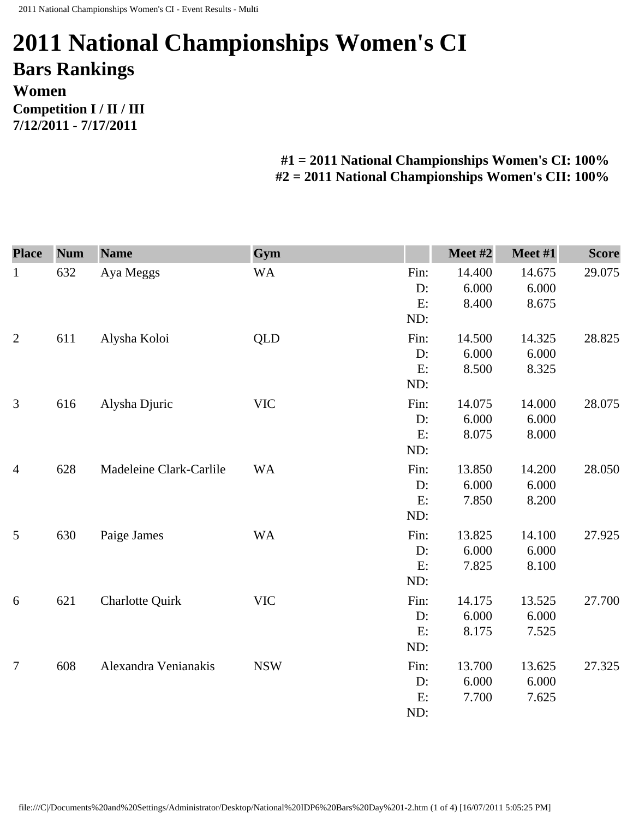## **2011 National Championships Women's CI Bars Rankings Women Competition I / II / III 7/12/2011 - 7/17/2011**

## **#1 = 2011 National Championships Women's CI: 100% #2 = 2011 National Championships Women's CII: 100%**

| <b>Place</b>   | <b>Num</b> | <b>Name</b>             | Gym        |      | Meet #2 | Meet #1 | <b>Score</b> |
|----------------|------------|-------------------------|------------|------|---------|---------|--------------|
| $\mathbf{1}$   | 632        | Aya Meggs               | <b>WA</b>  | Fin: | 14.400  | 14.675  | 29.075       |
|                |            |                         |            | D:   | 6.000   | 6.000   |              |
|                |            |                         |            | E:   | 8.400   | 8.675   |              |
|                |            |                         |            | ND:  |         |         |              |
| $\overline{2}$ | 611        | Alysha Koloi            | <b>QLD</b> | Fin: | 14.500  | 14.325  | 28.825       |
|                |            |                         |            | D:   | 6.000   | 6.000   |              |
|                |            |                         |            | E:   | 8.500   | 8.325   |              |
|                |            |                         |            | ND:  |         |         |              |
| 3              | 616        | Alysha Djuric           | <b>VIC</b> | Fin: | 14.075  | 14.000  | 28.075       |
|                |            |                         |            | D:   | 6.000   | 6.000   |              |
|                |            |                         |            | E:   | 8.075   | 8.000   |              |
|                |            |                         |            | ND:  |         |         |              |
| $\overline{4}$ | 628        | Madeleine Clark-Carlile | <b>WA</b>  | Fin: | 13.850  | 14.200  | 28.050       |
|                |            |                         |            | D:   | 6.000   | 6.000   |              |
|                |            |                         |            | E:   | 7.850   | 8.200   |              |
|                |            |                         |            | ND:  |         |         |              |
| 5              | 630        | Paige James             | <b>WA</b>  | Fin: | 13.825  | 14.100  | 27.925       |
|                |            |                         |            | D:   | 6.000   | 6.000   |              |
|                |            |                         |            | E:   | 7.825   | 8.100   |              |
|                |            |                         |            | ND:  |         |         |              |
| 6              | 621        | <b>Charlotte Quirk</b>  | <b>VIC</b> | Fin: | 14.175  | 13.525  | 27.700       |
|                |            |                         |            | D:   | 6.000   | 6.000   |              |
|                |            |                         |            | E:   | 8.175   | 7.525   |              |
|                |            |                         |            | ND:  |         |         |              |
| $\tau$         | 608        | Alexandra Venianakis    | <b>NSW</b> | Fin: | 13.700  | 13.625  | 27.325       |
|                |            |                         |            | D:   | 6.000   | 6.000   |              |
|                |            |                         |            | E:   | 7.700   | 7.625   |              |
|                |            |                         |            | ND:  |         |         |              |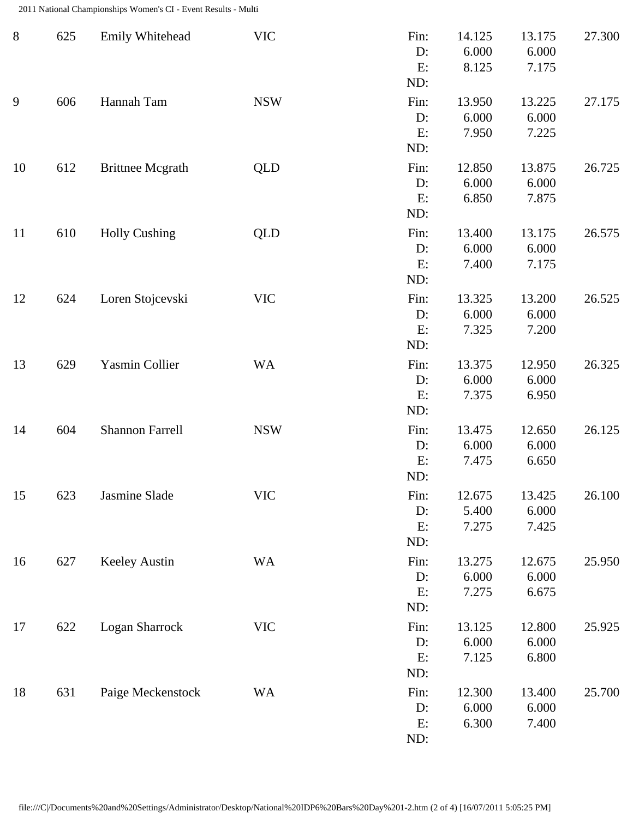2011 National Championships Women's CI - Event Results - Multi

| $8\,$ | 625 | Emily Whitehead         | <b>VIC</b> | Fin:<br>D:<br>E:<br>ND:    | 14.125<br>6.000<br>8.125 | 13.175<br>6.000<br>7.175 | 27.300 |
|-------|-----|-------------------------|------------|----------------------------|--------------------------|--------------------------|--------|
| 9     | 606 | Hannah Tam              | <b>NSW</b> | Fin:<br>$D$ :<br>E:<br>ND: | 13.950<br>6.000<br>7.950 | 13.225<br>6.000<br>7.225 | 27.175 |
| 10    | 612 | <b>Brittnee Mcgrath</b> | <b>QLD</b> | Fin:<br>D:<br>E:<br>ND:    | 12.850<br>6.000<br>6.850 | 13.875<br>6.000<br>7.875 | 26.725 |
| 11    | 610 | <b>Holly Cushing</b>    | <b>QLD</b> | Fin:<br>D:<br>E:<br>ND:    | 13.400<br>6.000<br>7.400 | 13.175<br>6.000<br>7.175 | 26.575 |
| 12    | 624 | Loren Stojcevski        | <b>VIC</b> | Fin:<br>D:<br>E:<br>ND:    | 13.325<br>6.000<br>7.325 | 13.200<br>6.000<br>7.200 | 26.525 |
| 13    | 629 | Yasmin Collier          | <b>WA</b>  | Fin:<br>D:<br>E:<br>ND:    | 13.375<br>6.000<br>7.375 | 12.950<br>6.000<br>6.950 | 26.325 |
| 14    | 604 | <b>Shannon Farrell</b>  | <b>NSW</b> | Fin:<br>D:<br>E:<br>ND:    | 13.475<br>6.000<br>7.475 | 12.650<br>6.000<br>6.650 | 26.125 |
| 15    | 623 | Jasmine Slade           | <b>VIC</b> | Fin:<br>D:<br>E:<br>ND:    | 12.675<br>5.400<br>7.275 | 13.425<br>6.000<br>7.425 | 26.100 |
| 16    | 627 | Keeley Austin           | <b>WA</b>  | Fin:<br>D:<br>E:<br>ND:    | 13.275<br>6.000<br>7.275 | 12.675<br>6.000<br>6.675 | 25.950 |
| 17    | 622 | Logan Sharrock          | <b>VIC</b> | Fin:<br>D:<br>E:<br>ND:    | 13.125<br>6.000<br>7.125 | 12.800<br>6.000<br>6.800 | 25.925 |
| 18    | 631 | Paige Meckenstock       | <b>WA</b>  | Fin:<br>D:<br>E:<br>ND:    | 12.300<br>6.000<br>6.300 | 13.400<br>6.000<br>7.400 | 25.700 |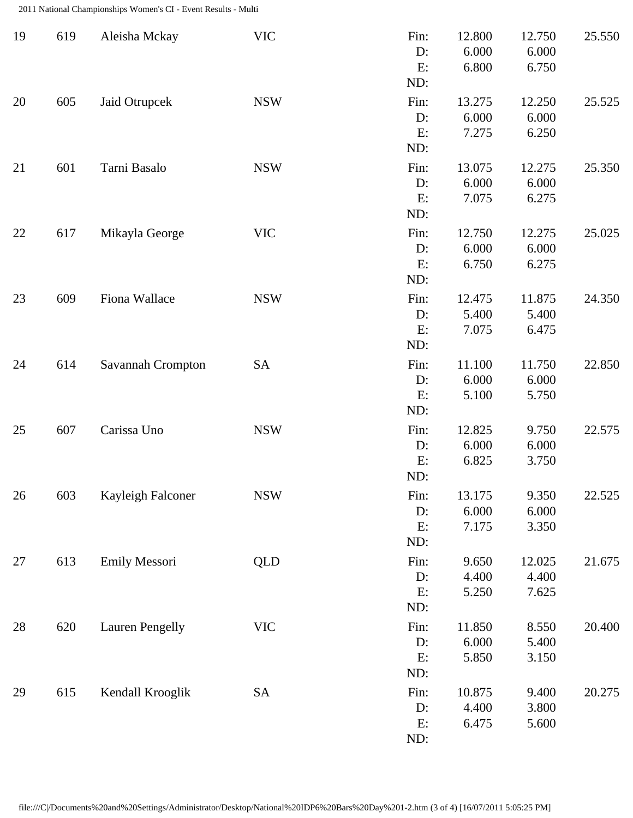2011 National Championships Women's CI - Event Results - Multi

| 19 | 619 | Aleisha Mckay          | <b>VIC</b> | Fin:<br>D:<br>E:<br>ND:    | 12.800<br>6.000<br>6.800 | 12.750<br>6.000<br>6.750 | 25.550 |
|----|-----|------------------------|------------|----------------------------|--------------------------|--------------------------|--------|
| 20 | 605 | Jaid Otrupcek          | <b>NSW</b> | Fin:<br>D:<br>E:<br>ND:    | 13.275<br>6.000<br>7.275 | 12.250<br>6.000<br>6.250 | 25.525 |
| 21 | 601 | Tarni Basalo           | <b>NSW</b> | Fin:<br>D:<br>E:<br>ND:    | 13.075<br>6.000<br>7.075 | 12.275<br>6.000<br>6.275 | 25.350 |
| 22 | 617 | Mikayla George         | <b>VIC</b> | Fin:<br>D:<br>E:<br>ND:    | 12.750<br>6.000<br>6.750 | 12.275<br>6.000<br>6.275 | 25.025 |
| 23 | 609 | Fiona Wallace          | <b>NSW</b> | Fin:<br>D:<br>E:<br>ND:    | 12.475<br>5.400<br>7.075 | 11.875<br>5.400<br>6.475 | 24.350 |
| 24 | 614 | Savannah Crompton      | <b>SA</b>  | Fin:<br>D:<br>E:<br>ND:    | 11.100<br>6.000<br>5.100 | 11.750<br>6.000<br>5.750 | 22.850 |
| 25 | 607 | Carissa Uno            | <b>NSW</b> | Fin:<br>D:<br>E:<br>ND:    | 12.825<br>6.000<br>6.825 | 9.750<br>6.000<br>3.750  | 22.575 |
| 26 | 603 | Kayleigh Falconer      | <b>NSW</b> | Fin:<br>D:<br>E:<br>ND:    | 13.175<br>6.000<br>7.175 | 9.350<br>6.000<br>3.350  | 22.525 |
| 27 | 613 | Emily Messori          | <b>QLD</b> | Fin:<br>$D$ :<br>E:<br>ND: | 9.650<br>4.400<br>5.250  | 12.025<br>4.400<br>7.625 | 21.675 |
| 28 | 620 | <b>Lauren Pengelly</b> | <b>VIC</b> | Fin:<br>D:<br>E:<br>ND:    | 11.850<br>6.000<br>5.850 | 8.550<br>5.400<br>3.150  | 20.400 |
| 29 | 615 | Kendall Krooglik       | <b>SA</b>  | Fin:<br>D:<br>E:<br>ND:    | 10.875<br>4.400<br>6.475 | 9.400<br>3.800<br>5.600  | 20.275 |